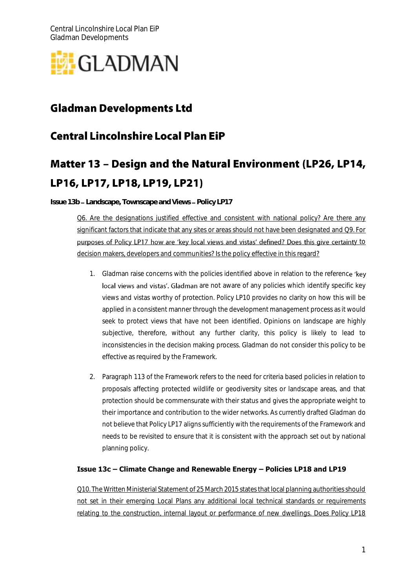

## **Gladman Developments Ltd**

## **Central Lincolnshire Local Plan EiP**

# Matter 13 - Design and the Natural Environment (LP26, LP14, LP16, LP17, LP18, LP19, LP21)

**Issue 13b - Landscape, Townscape and Views - Policy LP17** 

Q6. Are the designations justified effective and consistent with national policy? Are there any significant factors that indicate that any sites or areas should not have been designated and Q9. For purposes of Policy LP17 how are 'key local views and vistas' defined? Does this give certainty to decision makers, developers and communities? Is the policy effective in this regard?

- 1. Gladman raise concerns with the policies identified above in relation to the reference 'key local views and vistas'. Gladman are not aware of any policies which identify specific key views and vistas worthy of protection. Policy LP10 provides no clarity on how this will be applied in a consistent manner through the development management process as it would seek to protect views that have not been identified. Opinions on landscape are highly subjective, therefore, without any further clarity, this policy is likely to lead to inconsistencies in the decision making process. Gladman do not consider this policy to be effective as required by the Framework.
- 2. Paragraph 113 of the Framework refers to the need for criteria based policies in relation to proposals affecting protected wildlife or geodiversity sites or landscape areas, and that protection should be commensurate with their status and gives the appropriate weight to their importance and contribution to the wider networks. As currently drafted Gladman do not believe that Policy LP17 aligns sufficiently with the requirements of the Framework and needs to be revisited to ensure that it is consistent with the approach set out by national planning policy.

#### **Issue 13c – Climate Change and Renewable Energy – Policies LP18 and LP19**

Q10. The Written Ministerial Statement of 25 March 2015 states that local planning authorities should not set in their emerging Local Plans any additional local technical standards or requirements relating to the construction, internal layout or performance of new dwellings. Does Policy LP18